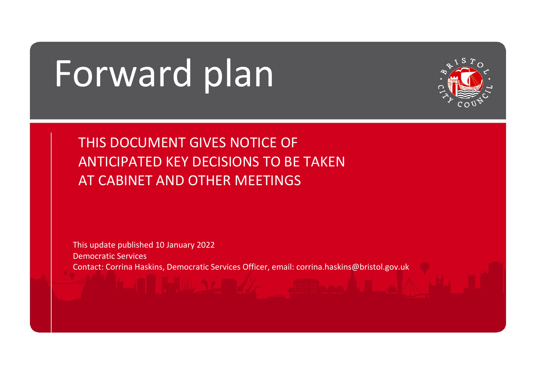# Forward plan



THIS DOCUMENT GIVES NOTICE OF ANTICIPATED KEY DECISIONS TO BE TAKEN AT CABINET AND OTHER MEETINGS

This update published 10 January 2022 Democratic Services Contact: Corrina Haskins, Democratic Services Officer, email: corrina.haskins@bristol.gov.uk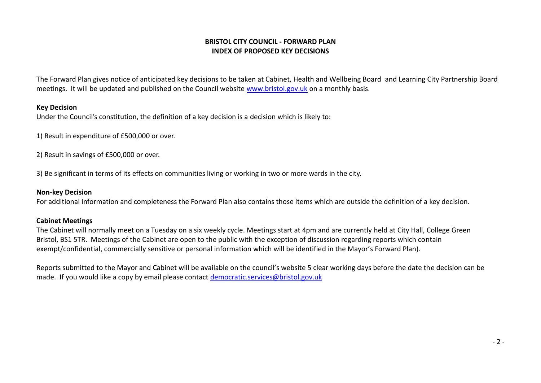# **BRISTOL CITY COUNCIL - FORWARD PLAN INDEX OF PROPOSED KEY DECISIONS**

The Forward Plan gives notice of anticipated key decisions to be taken at Cabinet, Health and Wellbeing Board and Learning City Partnership Board meetings. It will be updated and published on the Council website [www.bristol.gov.uk](http://www.bristol.gov.uk/) on a monthly basis.

#### **Key Decision**

Under the Council's constitution, the definition of a key decision is a decision which is likely to:

1) Result in expenditure of £500,000 or over.

2) Result in savings of £500,000 or over.

3) Be significant in terms of its effects on communities living or working in two or more wards in the city.

#### **Non-key Decision**

For additional information and completeness the Forward Plan also contains those items which are outside the definition of a key decision.

## **Cabinet Meetings**

The Cabinet will normally meet on a Tuesday on a six weekly cycle. Meetings start at 4pm and are currently held at City Hall, College Green Bristol, BS1 5TR. Meetings of the Cabinet are open to the public with the exception of discussion regarding reports which contain exempt/confidential, commercially sensitive or personal information which will be identified in the Mayor's Forward Plan).

Reports submitted to the Mayor and Cabinet will be available on the council's website 5 clear working days before the date the decision can be made. If you would like a copy by email please contact democratic.services@bristol.gov.uk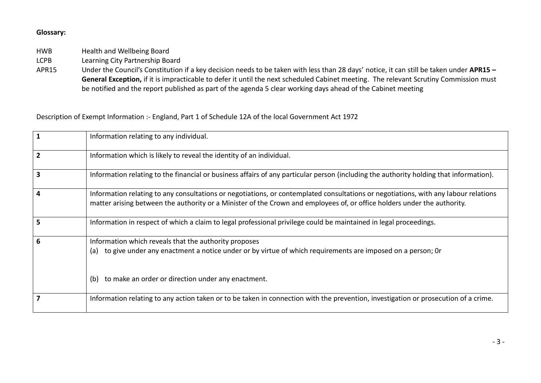# **Glossary:**

HWB Health and Wellbeing Board

LCPB Learning City Partnership Board

APR15 Under the Council's Constitution if a key decision needs to be taken with less than 28 days' notice, it can still be taken under **APR15 – General Exception,** if it is impracticable to defer it until the next scheduled Cabinet meeting. The relevant Scrutiny Commission must be notified and the report published as part of the agenda 5 clear working days ahead of the Cabinet meeting

Description of Exempt Information :- England, Part 1 of Schedule 12A of the local Government Act 1972

|   | Information relating to any individual.                                                                                                                                                                                                                         |
|---|-----------------------------------------------------------------------------------------------------------------------------------------------------------------------------------------------------------------------------------------------------------------|
|   | Information which is likely to reveal the identity of an individual.                                                                                                                                                                                            |
|   | Information relating to the financial or business affairs of any particular person (including the authority holding that information).                                                                                                                          |
| д | Information relating to any consultations or negotiations, or contemplated consultations or negotiations, with any labour relations<br>matter arising between the authority or a Minister of the Crown and employees of, or office holders under the authority. |
|   | Information in respect of which a claim to legal professional privilege could be maintained in legal proceedings.                                                                                                                                               |
| 6 | Information which reveals that the authority proposes<br>(a) to give under any enactment a notice under or by virtue of which requirements are imposed on a person; Or<br>to make an order or direction under any enactment.<br>(b)                             |
|   | Information relating to any action taken or to be taken in connection with the prevention, investigation or prosecution of a crime.                                                                                                                             |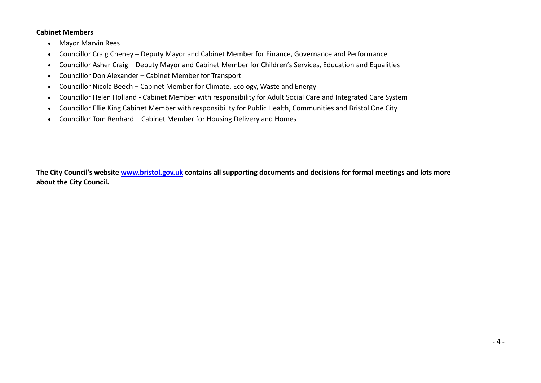### **Cabinet Members**

- Mayor Marvin Rees
- Councillor Craig Cheney Deputy Mayor and Cabinet Member for Finance, Governance and Performance
- Councillor Asher Craig Deputy Mayor and Cabinet Member for Children's Services, Education and Equalities
- Councillor Don Alexander Cabinet Member for Transport
- Councillor Nicola Beech Cabinet Member for Climate, Ecology, Waste and Energy
- Councillor Helen Holland Cabinet Member with responsibility for Adult Social Care and Integrated Care System
- Councillor Ellie King Cabinet Member with responsibility for Public Health, Communities and Bristol One City
- Councillor Tom Renhard Cabinet Member for Housing Delivery and Homes

**The City Council's website [www.bristol.gov.uk](http://www.bristol.gov.uk/) contains all supporting documents and decisions for formal meetings and lots more about the City Council.**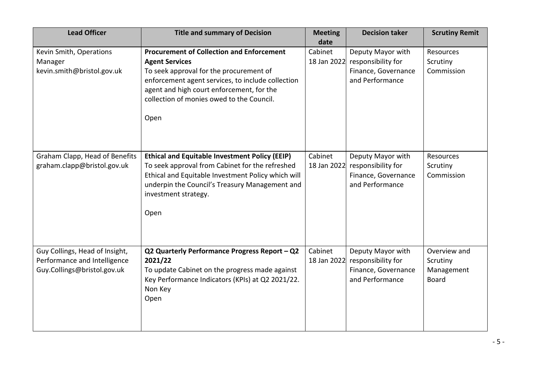| <b>Lead Officer</b>                                                                           | <b>Title and summary of Decision</b>                                                                                                                                                                                                                                        | <b>Meeting</b><br>date | <b>Decision taker</b>                                                                         | <b>Scrutiny Remit</b>                                  |
|-----------------------------------------------------------------------------------------------|-----------------------------------------------------------------------------------------------------------------------------------------------------------------------------------------------------------------------------------------------------------------------------|------------------------|-----------------------------------------------------------------------------------------------|--------------------------------------------------------|
| Kevin Smith, Operations<br>Manager<br>kevin.smith@bristol.gov.uk                              | <b>Procurement of Collection and Enforcement</b><br><b>Agent Services</b><br>To seek approval for the procurement of<br>enforcement agent services, to include collection<br>agent and high court enforcement, for the<br>collection of monies owed to the Council.<br>Open | Cabinet                | Deputy Mayor with<br>18 Jan 2022 responsibility for<br>Finance, Governance<br>and Performance | Resources<br>Scrutiny<br>Commission                    |
| Graham Clapp, Head of Benefits<br>graham.clapp@bristol.gov.uk                                 | <b>Ethical and Equitable Investment Policy (EEIP)</b><br>To seek approval from Cabinet for the refreshed<br>Ethical and Equitable Investment Policy which will<br>underpin the Council's Treasury Management and<br>investment strategy.<br>Open                            | Cabinet<br>18 Jan 2022 | Deputy Mayor with<br>responsibility for<br>Finance, Governance<br>and Performance             | Resources<br>Scrutiny<br>Commission                    |
| Guy Collings, Head of Insight,<br>Performance and Intelligence<br>Guy.Collings@bristol.gov.uk | Q2 Quarterly Performance Progress Report - Q2<br>2021/22<br>To update Cabinet on the progress made against<br>Key Performance Indicators (KPIs) at Q2 2021/22.<br>Non Key<br>Open                                                                                           | Cabinet                | Deputy Mayor with<br>18 Jan 2022 responsibility for<br>Finance, Governance<br>and Performance | Overview and<br>Scrutiny<br>Management<br><b>Board</b> |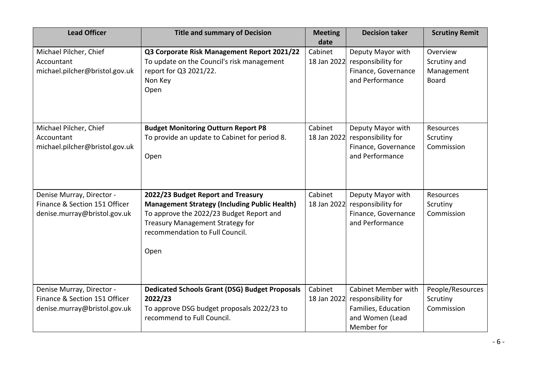| <b>Lead Officer</b>                                                                        | <b>Title and summary of Decision</b>                                                                                                                                                                                  | <b>Meeting</b><br>date | <b>Decision taker</b>                                                                                    | <b>Scrutiny Remit</b>                                  |
|--------------------------------------------------------------------------------------------|-----------------------------------------------------------------------------------------------------------------------------------------------------------------------------------------------------------------------|------------------------|----------------------------------------------------------------------------------------------------------|--------------------------------------------------------|
| Michael Pilcher, Chief<br>Accountant<br>michael.pilcher@bristol.gov.uk                     | Q3 Corporate Risk Management Report 2021/22<br>To update on the Council's risk management<br>report for Q3 2021/22.<br>Non Key<br>Open                                                                                | Cabinet<br>18 Jan 2022 | Deputy Mayor with<br>responsibility for<br>Finance, Governance<br>and Performance                        | Overview<br>Scrutiny and<br>Management<br><b>Board</b> |
| Michael Pilcher, Chief<br>Accountant<br>michael.pilcher@bristol.gov.uk                     | <b>Budget Monitoring Outturn Report P8</b><br>To provide an update to Cabinet for period 8.<br>Open                                                                                                                   | Cabinet<br>18 Jan 2022 | Deputy Mayor with<br>responsibility for<br>Finance, Governance<br>and Performance                        | Resources<br>Scrutiny<br>Commission                    |
| Denise Murray, Director -<br>Finance & Section 151 Officer<br>denise.murray@bristol.gov.uk | 2022/23 Budget Report and Treasury<br><b>Management Strategy (Including Public Health)</b><br>To approve the 2022/23 Budget Report and<br>Treasury Management Strategy for<br>recommendation to Full Council.<br>Open | Cabinet<br>18 Jan 2022 | Deputy Mayor with<br>responsibility for<br>Finance, Governance<br>and Performance                        | Resources<br>Scrutiny<br>Commission                    |
| Denise Murray, Director -<br>Finance & Section 151 Officer<br>denise.murray@bristol.gov.uk | <b>Dedicated Schools Grant (DSG) Budget Proposals</b><br>2022/23<br>To approve DSG budget proposals 2022/23 to<br>recommend to Full Council.                                                                          | Cabinet<br>18 Jan 2022 | <b>Cabinet Member with</b><br>responsibility for<br>Families, Education<br>and Women (Lead<br>Member for | People/Resources<br>Scrutiny<br>Commission             |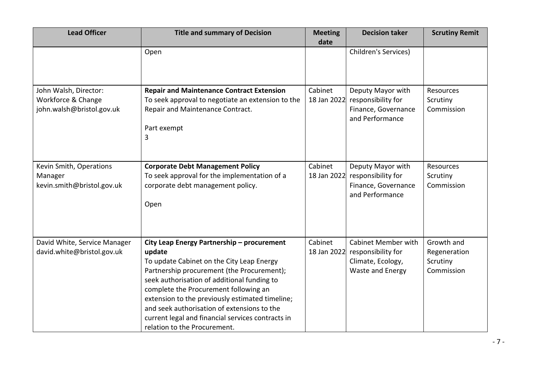| <b>Lead Officer</b>                                                      | <b>Title and summary of Decision</b>                                                                                                                                                                                                                                                                                                                                                                                           | <b>Meeting</b><br>date | <b>Decision taker</b>                                                                     | <b>Scrutiny Remit</b>                                |
|--------------------------------------------------------------------------|--------------------------------------------------------------------------------------------------------------------------------------------------------------------------------------------------------------------------------------------------------------------------------------------------------------------------------------------------------------------------------------------------------------------------------|------------------------|-------------------------------------------------------------------------------------------|------------------------------------------------------|
|                                                                          | Open                                                                                                                                                                                                                                                                                                                                                                                                                           |                        | Children's Services)                                                                      |                                                      |
| John Walsh, Director:<br>Workforce & Change<br>john.walsh@bristol.gov.uk | <b>Repair and Maintenance Contract Extension</b><br>To seek approval to negotiate an extension to the<br>Repair and Maintenance Contract.<br>Part exempt<br>3                                                                                                                                                                                                                                                                  | Cabinet<br>18 Jan 2022 | Deputy Mayor with<br>responsibility for<br>Finance, Governance<br>and Performance         | Resources<br>Scrutiny<br>Commission                  |
| Kevin Smith, Operations<br>Manager<br>kevin.smith@bristol.gov.uk         | <b>Corporate Debt Management Policy</b><br>To seek approval for the implementation of a<br>corporate debt management policy.<br>Open                                                                                                                                                                                                                                                                                           | Cabinet<br>18 Jan 2022 | Deputy Mayor with<br>responsibility for<br>Finance, Governance<br>and Performance         | Resources<br>Scrutiny<br>Commission                  |
| David White, Service Manager<br>david.white@bristol.gov.uk               | City Leap Energy Partnership - procurement<br>update<br>To update Cabinet on the City Leap Energy<br>Partnership procurement (the Procurement);<br>seek authorisation of additional funding to<br>complete the Procurement following an<br>extension to the previously estimated timeline;<br>and seek authorisation of extensions to the<br>current legal and financial services contracts in<br>relation to the Procurement. | Cabinet<br>18 Jan 2022 | <b>Cabinet Member with</b><br>responsibility for<br>Climate, Ecology,<br>Waste and Energy | Growth and<br>Regeneration<br>Scrutiny<br>Commission |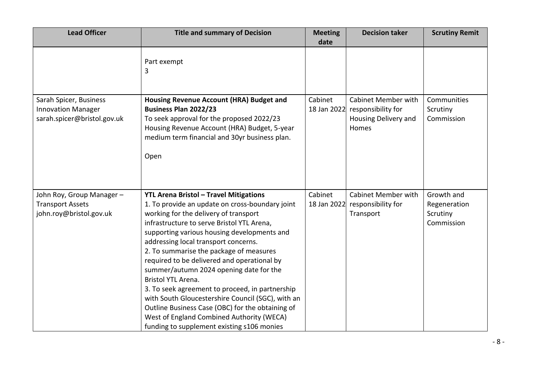| <b>Lead Officer</b>                                                                | <b>Title and summary of Decision</b>                                                                                                                                                                                                                                                                                                                                                                                                                                                                                                                                                                                                                                                             | <b>Meeting</b><br>date | <b>Decision taker</b>                                                             | <b>Scrutiny Remit</b>                                |
|------------------------------------------------------------------------------------|--------------------------------------------------------------------------------------------------------------------------------------------------------------------------------------------------------------------------------------------------------------------------------------------------------------------------------------------------------------------------------------------------------------------------------------------------------------------------------------------------------------------------------------------------------------------------------------------------------------------------------------------------------------------------------------------------|------------------------|-----------------------------------------------------------------------------------|------------------------------------------------------|
|                                                                                    | Part exempt<br>3                                                                                                                                                                                                                                                                                                                                                                                                                                                                                                                                                                                                                                                                                 |                        |                                                                                   |                                                      |
| Sarah Spicer, Business<br><b>Innovation Manager</b><br>sarah.spicer@bristol.gov.uk | Housing Revenue Account (HRA) Budget and<br><b>Business Plan 2022/23</b><br>To seek approval for the proposed 2022/23<br>Housing Revenue Account (HRA) Budget, 5-year<br>medium term financial and 30yr business plan.<br>Open                                                                                                                                                                                                                                                                                                                                                                                                                                                                   | Cabinet<br>18 Jan 2022 | <b>Cabinet Member with</b><br>responsibility for<br>Housing Delivery and<br>Homes | Communities<br>Scrutiny<br>Commission                |
| John Roy, Group Manager-<br><b>Transport Assets</b><br>john.roy@bristol.gov.uk     | <b>YTL Arena Bristol - Travel Mitigations</b><br>1. To provide an update on cross-boundary joint<br>working for the delivery of transport<br>infrastructure to serve Bristol YTL Arena,<br>supporting various housing developments and<br>addressing local transport concerns.<br>2. To summarise the package of measures<br>required to be delivered and operational by<br>summer/autumn 2024 opening date for the<br>Bristol YTL Arena.<br>3. To seek agreement to proceed, in partnership<br>with South Gloucestershire Council (SGC), with an<br>Outline Business Case (OBC) for the obtaining of<br>West of England Combined Authority (WECA)<br>funding to supplement existing s106 monies | Cabinet<br>18 Jan 2022 | Cabinet Member with<br>responsibility for<br>Transport                            | Growth and<br>Regeneration<br>Scrutiny<br>Commission |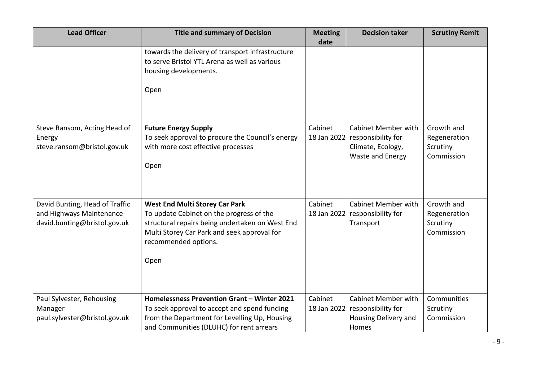| <b>Lead Officer</b>                                                                        | <b>Title and summary of Decision</b>                                                                                                                                                                                | <b>Meeting</b><br>date | <b>Decision taker</b>                                                                     | <b>Scrutiny Remit</b>                                |
|--------------------------------------------------------------------------------------------|---------------------------------------------------------------------------------------------------------------------------------------------------------------------------------------------------------------------|------------------------|-------------------------------------------------------------------------------------------|------------------------------------------------------|
|                                                                                            | towards the delivery of transport infrastructure<br>to serve Bristol YTL Arena as well as various<br>housing developments.<br>Open                                                                                  |                        |                                                                                           |                                                      |
| Steve Ransom, Acting Head of<br>Energy<br>steve.ransom@bristol.gov.uk                      | <b>Future Energy Supply</b><br>To seek approval to procure the Council's energy<br>with more cost effective processes<br>Open                                                                                       | Cabinet<br>18 Jan 2022 | <b>Cabinet Member with</b><br>responsibility for<br>Climate, Ecology,<br>Waste and Energy | Growth and<br>Regeneration<br>Scrutiny<br>Commission |
| David Bunting, Head of Traffic<br>and Highways Maintenance<br>david.bunting@bristol.gov.uk | <b>West End Multi Storey Car Park</b><br>To update Cabinet on the progress of the<br>structural repairs being undertaken on West End<br>Multi Storey Car Park and seek approval for<br>recommended options.<br>Open | Cabinet<br>18 Jan 2022 | <b>Cabinet Member with</b><br>responsibility for<br>Transport                             | Growth and<br>Regeneration<br>Scrutiny<br>Commission |
| Paul Sylvester, Rehousing<br>Manager<br>paul.sylvester@bristol.gov.uk                      | Homelessness Prevention Grant - Winter 2021<br>To seek approval to accept and spend funding<br>from the Department for Levelling Up, Housing<br>and Communities (DLUHC) for rent arrears                            | Cabinet<br>18 Jan 2022 | <b>Cabinet Member with</b><br>responsibility for<br>Housing Delivery and<br>Homes         | Communities<br>Scrutiny<br>Commission                |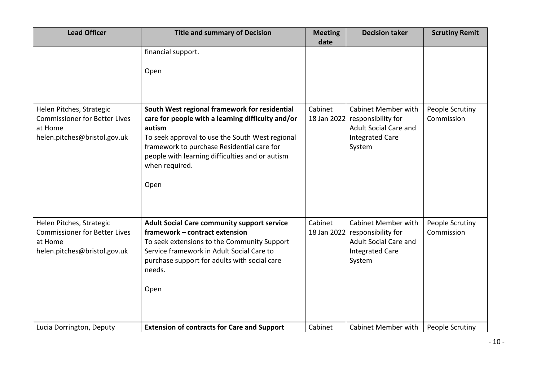| <b>Lead Officer</b>                                                                                         | <b>Title and summary of Decision</b>                                                                                                                                                                                                                                                       | <b>Meeting</b><br>date | <b>Decision taker</b>                                                                                                            | <b>Scrutiny Remit</b>         |
|-------------------------------------------------------------------------------------------------------------|--------------------------------------------------------------------------------------------------------------------------------------------------------------------------------------------------------------------------------------------------------------------------------------------|------------------------|----------------------------------------------------------------------------------------------------------------------------------|-------------------------------|
|                                                                                                             | financial support.<br>Open                                                                                                                                                                                                                                                                 |                        |                                                                                                                                  |                               |
| Helen Pitches, Strategic<br><b>Commissioner for Better Lives</b><br>at Home<br>helen.pitches@bristol.gov.uk | South West regional framework for residential<br>care for people with a learning difficulty and/or<br>autism<br>To seek approval to use the South West regional<br>framework to purchase Residential care for<br>people with learning difficulties and or autism<br>when required.<br>Open | Cabinet                | <b>Cabinet Member with</b><br>18 Jan 2022 responsibility for<br><b>Adult Social Care and</b><br><b>Integrated Care</b><br>System | People Scrutiny<br>Commission |
| Helen Pitches, Strategic<br><b>Commissioner for Better Lives</b><br>at Home<br>helen.pitches@bristol.gov.uk | <b>Adult Social Care community support service</b><br>framework - contract extension<br>To seek extensions to the Community Support<br>Service framework in Adult Social Care to<br>purchase support for adults with social care<br>needs.<br>Open                                         | Cabinet<br>18 Jan 2022 | Cabinet Member with<br>responsibility for<br><b>Adult Social Care and</b><br><b>Integrated Care</b><br>System                    | People Scrutiny<br>Commission |
| Lucia Dorrington, Deputy                                                                                    | <b>Extension of contracts for Care and Support</b>                                                                                                                                                                                                                                         | Cabinet                | Cabinet Member with                                                                                                              | People Scrutiny               |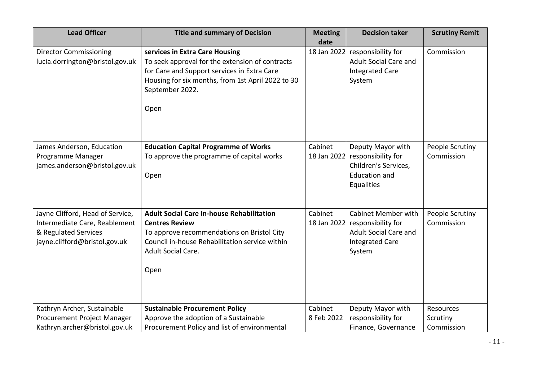| <b>Lead Officer</b>                                                                                                        | <b>Title and summary of Decision</b>                                                                                                                                                                             | <b>Meeting</b><br>date | <b>Decision taker</b>                                                                                                | <b>Scrutiny Remit</b>               |
|----------------------------------------------------------------------------------------------------------------------------|------------------------------------------------------------------------------------------------------------------------------------------------------------------------------------------------------------------|------------------------|----------------------------------------------------------------------------------------------------------------------|-------------------------------------|
| <b>Director Commissioning</b><br>lucia.dorrington@bristol.gov.uk                                                           | services in Extra Care Housing<br>To seek approval for the extension of contracts<br>for Care and Support services in Extra Care<br>Housing for six months, from 1st April 2022 to 30<br>September 2022.<br>Open | 18 Jan 2022            | responsibility for<br><b>Adult Social Care and</b><br><b>Integrated Care</b><br>System                               | Commission                          |
| James Anderson, Education<br>Programme Manager<br>james.anderson@bristol.gov.uk                                            | <b>Education Capital Programme of Works</b><br>To approve the programme of capital works<br>Open                                                                                                                 | Cabinet<br>18 Jan 2022 | Deputy Mayor with<br>responsibility for<br>Children's Services,<br><b>Education and</b><br>Equalities                | People Scrutiny<br>Commission       |
| Jayne Clifford, Head of Service,<br>Intermediate Care, Reablement<br>& Regulated Services<br>jayne.clifford@bristol.gov.uk | <b>Adult Social Care In-house Rehabilitation</b><br><b>Centres Review</b><br>To approve recommendations on Bristol City<br>Council in-house Rehabilitation service within<br>Adult Social Care.<br>Open          | Cabinet<br>18 Jan 2022 | <b>Cabinet Member with</b><br>responsibility for<br><b>Adult Social Care and</b><br><b>Integrated Care</b><br>System | People Scrutiny<br>Commission       |
| Kathryn Archer, Sustainable<br>Procurement Project Manager<br>Kathryn.archer@bristol.gov.uk                                | <b>Sustainable Procurement Policy</b><br>Approve the adoption of a Sustainable<br>Procurement Policy and list of environmental                                                                                   | Cabinet<br>8 Feb 2022  | Deputy Mayor with<br>responsibility for<br>Finance, Governance                                                       | Resources<br>Scrutiny<br>Commission |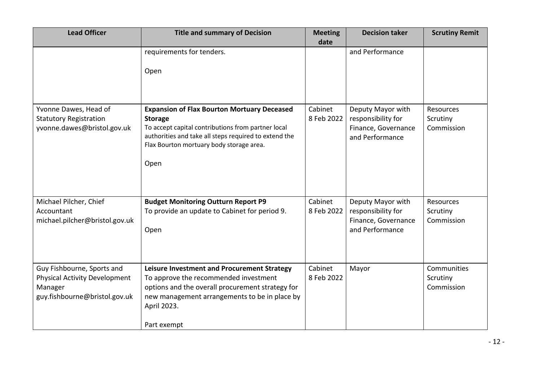| <b>Lead Officer</b>                                                                                            | <b>Title and summary of Decision</b>                                                                                                                                                                                                    | <b>Meeting</b><br>date | <b>Decision taker</b>                                                             | <b>Scrutiny Remit</b>                 |
|----------------------------------------------------------------------------------------------------------------|-----------------------------------------------------------------------------------------------------------------------------------------------------------------------------------------------------------------------------------------|------------------------|-----------------------------------------------------------------------------------|---------------------------------------|
|                                                                                                                | requirements for tenders.<br>Open                                                                                                                                                                                                       |                        | and Performance                                                                   |                                       |
| Yvonne Dawes, Head of<br><b>Statutory Registration</b><br>yvonne.dawes@bristol.gov.uk                          | <b>Expansion of Flax Bourton Mortuary Deceased</b><br><b>Storage</b><br>To accept capital contributions from partner local<br>authorities and take all steps required to extend the<br>Flax Bourton mortuary body storage area.<br>Open | Cabinet<br>8 Feb 2022  | Deputy Mayor with<br>responsibility for<br>Finance, Governance<br>and Performance | Resources<br>Scrutiny<br>Commission   |
| Michael Pilcher, Chief<br>Accountant<br>michael.pilcher@bristol.gov.uk                                         | <b>Budget Monitoring Outturn Report P9</b><br>To provide an update to Cabinet for period 9.<br>Open                                                                                                                                     | Cabinet<br>8 Feb 2022  | Deputy Mayor with<br>responsibility for<br>Finance, Governance<br>and Performance | Resources<br>Scrutiny<br>Commission   |
| Guy Fishbourne, Sports and<br><b>Physical Activity Development</b><br>Manager<br>guy.fishbourne@bristol.gov.uk | Leisure Investment and Procurement Strategy<br>To approve the recommended investment<br>options and the overall procurement strategy for<br>new management arrangements to be in place by<br>April 2023.<br>Part exempt                 | Cabinet<br>8 Feb 2022  | Mayor                                                                             | Communities<br>Scrutiny<br>Commission |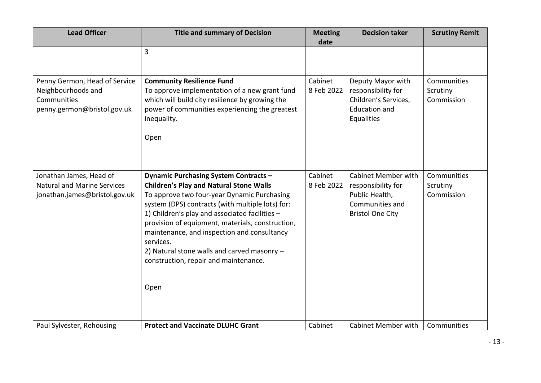| <b>Lead Officer</b>                                                                               | <b>Title and summary of Decision</b>                                                                                                                                                                                                                                                                                                                                                                                                                                | <b>Meeting</b><br>date | <b>Decision taker</b>                                                                                            | <b>Scrutiny Remit</b>                 |
|---------------------------------------------------------------------------------------------------|---------------------------------------------------------------------------------------------------------------------------------------------------------------------------------------------------------------------------------------------------------------------------------------------------------------------------------------------------------------------------------------------------------------------------------------------------------------------|------------------------|------------------------------------------------------------------------------------------------------------------|---------------------------------------|
|                                                                                                   | $\overline{3}$                                                                                                                                                                                                                                                                                                                                                                                                                                                      |                        |                                                                                                                  |                                       |
| Penny Germon, Head of Service<br>Neighbourhoods and<br>Communities<br>penny.germon@bristol.gov.uk | <b>Community Resilience Fund</b><br>To approve implementation of a new grant fund<br>which will build city resilience by growing the<br>power of communities experiencing the greatest<br>inequality.<br>Open                                                                                                                                                                                                                                                       | Cabinet<br>8 Feb 2022  | Deputy Mayor with<br>responsibility for<br>Children's Services,<br><b>Education and</b><br>Equalities            | Communities<br>Scrutiny<br>Commission |
| Jonathan James, Head of<br><b>Natural and Marine Services</b><br>jonathan.james@bristol.gov.uk    | <b>Dynamic Purchasing System Contracts -</b><br><b>Children's Play and Natural Stone Walls</b><br>To approve two four-year Dynamic Purchasing<br>system (DPS) contracts (with multiple lots) for:<br>1) Children's play and associated facilities -<br>provision of equipment, materials, construction,<br>maintenance, and inspection and consultancy<br>services.<br>2) Natural stone walls and carved masonry -<br>construction, repair and maintenance.<br>Open | Cabinet<br>8 Feb 2022  | <b>Cabinet Member with</b><br>responsibility for<br>Public Health,<br>Communities and<br><b>Bristol One City</b> | Communities<br>Scrutiny<br>Commission |
| Paul Sylvester, Rehousing                                                                         | <b>Protect and Vaccinate DLUHC Grant</b>                                                                                                                                                                                                                                                                                                                                                                                                                            | Cabinet                | <b>Cabinet Member with</b>                                                                                       | Communities                           |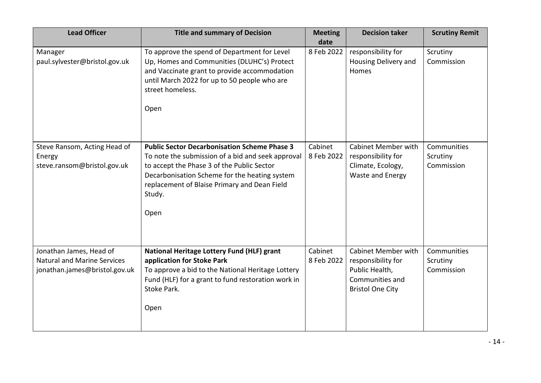| <b>Lead Officer</b>                                                                            | <b>Title and summary of Decision</b>                                                                                                                                                                                                                                      | <b>Meeting</b><br>date | <b>Decision taker</b>                                                                                            | <b>Scrutiny Remit</b>                 |
|------------------------------------------------------------------------------------------------|---------------------------------------------------------------------------------------------------------------------------------------------------------------------------------------------------------------------------------------------------------------------------|------------------------|------------------------------------------------------------------------------------------------------------------|---------------------------------------|
| Manager<br>paul.sylvester@bristol.gov.uk                                                       | To approve the spend of Department for Level<br>Up, Homes and Communities (DLUHC's) Protect<br>and Vaccinate grant to provide accommodation<br>until March 2022 for up to 50 people who are<br>street homeless.<br>Open                                                   | 8 Feb 2022             | responsibility for<br>Housing Delivery and<br>Homes                                                              | Scrutiny<br>Commission                |
| Steve Ransom, Acting Head of<br>Energy<br>steve.ransom@bristol.gov.uk                          | <b>Public Sector Decarbonisation Scheme Phase 3</b><br>To note the submission of a bid and seek approval<br>to accept the Phase 3 of the Public Sector<br>Decarbonisation Scheme for the heating system<br>replacement of Blaise Primary and Dean Field<br>Study.<br>Open | Cabinet<br>8 Feb 2022  | <b>Cabinet Member with</b><br>responsibility for<br>Climate, Ecology,<br>Waste and Energy                        | Communities<br>Scrutiny<br>Commission |
| Jonathan James, Head of<br><b>Natural and Marine Services</b><br>jonathan.james@bristol.gov.uk | National Heritage Lottery Fund (HLF) grant<br>application for Stoke Park<br>To approve a bid to the National Heritage Lottery<br>Fund (HLF) for a grant to fund restoration work in<br>Stoke Park.<br>Open                                                                | Cabinet<br>8 Feb 2022  | <b>Cabinet Member with</b><br>responsibility for<br>Public Health,<br>Communities and<br><b>Bristol One City</b> | Communities<br>Scrutiny<br>Commission |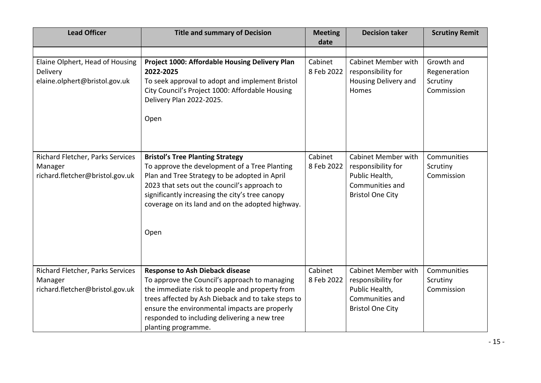| <b>Lead Officer</b>                                                            | <b>Title and summary of Decision</b>                                                                                                                                                                                                                                                                                    | <b>Meeting</b><br>date | <b>Decision taker</b>                                                                                            | <b>Scrutiny Remit</b>                 |
|--------------------------------------------------------------------------------|-------------------------------------------------------------------------------------------------------------------------------------------------------------------------------------------------------------------------------------------------------------------------------------------------------------------------|------------------------|------------------------------------------------------------------------------------------------------------------|---------------------------------------|
| Elaine Olphert, Head of Housing<br>Delivery                                    | Project 1000: Affordable Housing Delivery Plan<br>2022-2025                                                                                                                                                                                                                                                             | Cabinet<br>8 Feb 2022  | <b>Cabinet Member with</b><br>responsibility for                                                                 | Growth and<br>Regeneration            |
| elaine.olphert@bristol.gov.uk                                                  | To seek approval to adopt and implement Bristol<br>City Council's Project 1000: Affordable Housing<br>Delivery Plan 2022-2025.                                                                                                                                                                                          |                        | Housing Delivery and<br>Homes                                                                                    | Scrutiny<br>Commission                |
|                                                                                | Open                                                                                                                                                                                                                                                                                                                    |                        |                                                                                                                  |                                       |
| Richard Fletcher, Parks Services<br>Manager<br>richard.fletcher@bristol.gov.uk | <b>Bristol's Tree Planting Strategy</b><br>To approve the development of a Tree Planting<br>Plan and Tree Strategy to be adopted in April<br>2023 that sets out the council's approach to<br>significantly increasing the city's tree canopy<br>coverage on its land and on the adopted highway.<br>Open                | Cabinet<br>8 Feb 2022  | <b>Cabinet Member with</b><br>responsibility for<br>Public Health,<br>Communities and<br><b>Bristol One City</b> | Communities<br>Scrutiny<br>Commission |
| Richard Fletcher, Parks Services<br>Manager<br>richard.fletcher@bristol.gov.uk | <b>Response to Ash Dieback disease</b><br>To approve the Council's approach to managing<br>the immediate risk to people and property from<br>trees affected by Ash Dieback and to take steps to<br>ensure the environmental impacts are properly<br>responded to including delivering a new tree<br>planting programme. | Cabinet<br>8 Feb 2022  | <b>Cabinet Member with</b><br>responsibility for<br>Public Health,<br>Communities and<br><b>Bristol One City</b> | Communities<br>Scrutiny<br>Commission |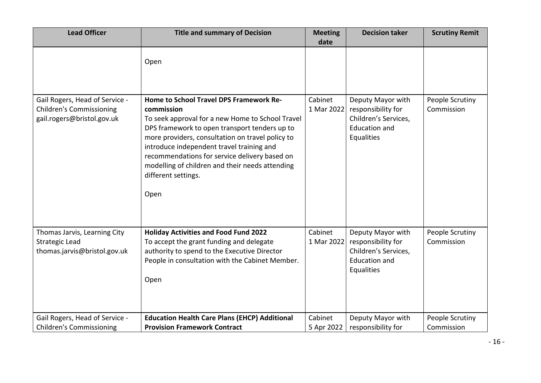| <b>Lead Officer</b>                                                                             | <b>Title and summary of Decision</b>                                                                                                                                                                                                                                                                                                                                                           | <b>Meeting</b><br>date | <b>Decision taker</b>                                                                                 | <b>Scrutiny Remit</b>         |
|-------------------------------------------------------------------------------------------------|------------------------------------------------------------------------------------------------------------------------------------------------------------------------------------------------------------------------------------------------------------------------------------------------------------------------------------------------------------------------------------------------|------------------------|-------------------------------------------------------------------------------------------------------|-------------------------------|
|                                                                                                 | Open                                                                                                                                                                                                                                                                                                                                                                                           |                        |                                                                                                       |                               |
| Gail Rogers, Head of Service -<br><b>Children's Commissioning</b><br>gail.rogers@bristol.gov.uk | Home to School Travel DPS Framework Re-<br>commission<br>To seek approval for a new Home to School Travel<br>DPS framework to open transport tenders up to<br>more providers, consultation on travel policy to<br>introduce independent travel training and<br>recommendations for service delivery based on<br>modelling of children and their needs attending<br>different settings.<br>Open | Cabinet<br>1 Mar 2022  | Deputy Mayor with<br>responsibility for<br>Children's Services,<br><b>Education and</b><br>Equalities | People Scrutiny<br>Commission |
| Thomas Jarvis, Learning City<br><b>Strategic Lead</b><br>thomas.jarvis@bristol.gov.uk           | <b>Holiday Activities and Food Fund 2022</b><br>To accept the grant funding and delegate<br>authority to spend to the Executive Director<br>People in consultation with the Cabinet Member.<br>Open                                                                                                                                                                                            | Cabinet<br>1 Mar 2022  | Deputy Mayor with<br>responsibility for<br>Children's Services,<br><b>Education and</b><br>Equalities | People Scrutiny<br>Commission |
| Gail Rogers, Head of Service -<br><b>Children's Commissioning</b>                               | <b>Education Health Care Plans (EHCP) Additional</b><br><b>Provision Framework Contract</b>                                                                                                                                                                                                                                                                                                    | Cabinet<br>5 Apr 2022  | Deputy Mayor with<br>responsibility for                                                               | People Scrutiny<br>Commission |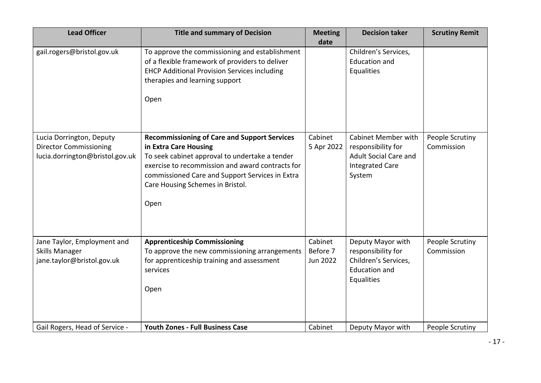| <b>Lead Officer</b>                                                                          | <b>Title and summary of Decision</b>                                                                                                                                                                                                                                              | <b>Meeting</b><br>date          | <b>Decision taker</b>                                                                                                | <b>Scrutiny Remit</b>         |
|----------------------------------------------------------------------------------------------|-----------------------------------------------------------------------------------------------------------------------------------------------------------------------------------------------------------------------------------------------------------------------------------|---------------------------------|----------------------------------------------------------------------------------------------------------------------|-------------------------------|
| gail.rogers@bristol.gov.uk                                                                   | To approve the commissioning and establishment<br>of a flexible framework of providers to deliver<br><b>EHCP Additional Provision Services including</b><br>therapies and learning support<br>Open                                                                                |                                 | Children's Services,<br><b>Education and</b><br>Equalities                                                           |                               |
| Lucia Dorrington, Deputy<br><b>Director Commissioning</b><br>lucia.dorrington@bristol.gov.uk | <b>Recommissioning of Care and Support Services</b><br>in Extra Care Housing<br>To seek cabinet approval to undertake a tender<br>exercise to recommission and award contracts for<br>commissioned Care and Support Services in Extra<br>Care Housing Schemes in Bristol.<br>Open | Cabinet<br>5 Apr 2022           | <b>Cabinet Member with</b><br>responsibility for<br><b>Adult Social Care and</b><br><b>Integrated Care</b><br>System | People Scrutiny<br>Commission |
| Jane Taylor, Employment and<br><b>Skills Manager</b><br>jane.taylor@bristol.gov.uk           | <b>Apprenticeship Commissioning</b><br>To approve the new commissioning arrangements<br>for apprenticeship training and assessment<br>services<br>Open                                                                                                                            | Cabinet<br>Before 7<br>Jun 2022 | Deputy Mayor with<br>responsibility for<br>Children's Services,<br><b>Education and</b><br>Equalities                | People Scrutiny<br>Commission |
| Gail Rogers, Head of Service -                                                               | <b>Youth Zones - Full Business Case</b>                                                                                                                                                                                                                                           | Cabinet                         | Deputy Mayor with                                                                                                    | People Scrutiny               |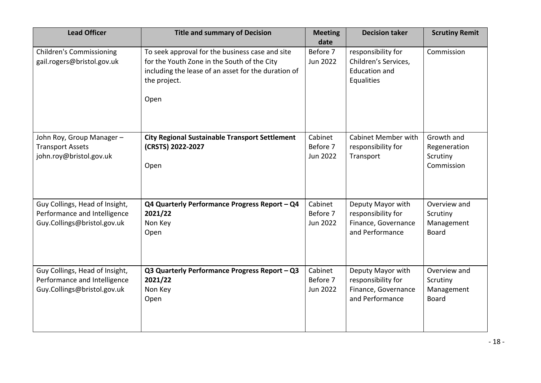| <b>Lead Officer</b>                                                                           | <b>Title and summary of Decision</b>                                                                                                                                          | <b>Meeting</b><br>date                 | <b>Decision taker</b>                                                             | <b>Scrutiny Remit</b>                                  |
|-----------------------------------------------------------------------------------------------|-------------------------------------------------------------------------------------------------------------------------------------------------------------------------------|----------------------------------------|-----------------------------------------------------------------------------------|--------------------------------------------------------|
| <b>Children's Commissioning</b><br>gail.rogers@bristol.gov.uk                                 | To seek approval for the business case and site<br>for the Youth Zone in the South of the City<br>including the lease of an asset for the duration of<br>the project.<br>Open | Before 7<br>Jun 2022                   | responsibility for<br>Children's Services,<br><b>Education and</b><br>Equalities  | Commission                                             |
| John Roy, Group Manager-<br><b>Transport Assets</b><br>john.roy@bristol.gov.uk                | <b>City Regional Sustainable Transport Settlement</b><br>(CRSTS) 2022-2027<br>Open                                                                                            | Cabinet<br>Before 7<br>Jun 2022        | <b>Cabinet Member with</b><br>responsibility for<br>Transport                     | Growth and<br>Regeneration<br>Scrutiny<br>Commission   |
| Guy Collings, Head of Insight,<br>Performance and Intelligence<br>Guy.Collings@bristol.gov.uk | Q4 Quarterly Performance Progress Report - Q4<br>2021/22<br>Non Key<br>Open                                                                                                   | Cabinet<br>Before 7<br>Jun 2022        | Deputy Mayor with<br>responsibility for<br>Finance, Governance<br>and Performance | Overview and<br>Scrutiny<br>Management<br><b>Board</b> |
| Guy Collings, Head of Insight,<br>Performance and Intelligence<br>Guy.Collings@bristol.gov.uk | Q3 Quarterly Performance Progress Report - Q3<br>2021/22<br>Non Key<br>Open                                                                                                   | Cabinet<br>Before 7<br><b>Jun 2022</b> | Deputy Mayor with<br>responsibility for<br>Finance, Governance<br>and Performance | Overview and<br>Scrutiny<br>Management<br><b>Board</b> |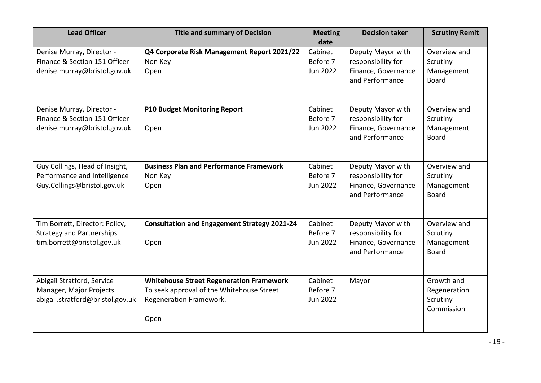| <b>Lead Officer</b>                                                                              | <b>Title and summary of Decision</b>                                                                                            | <b>Meeting</b><br>date                 | <b>Decision taker</b>                                                             | <b>Scrutiny Remit</b>                                  |
|--------------------------------------------------------------------------------------------------|---------------------------------------------------------------------------------------------------------------------------------|----------------------------------------|-----------------------------------------------------------------------------------|--------------------------------------------------------|
| Denise Murray, Director -<br>Finance & Section 151 Officer<br>denise.murray@bristol.gov.uk       | Q4 Corporate Risk Management Report 2021/22<br>Non Key<br>Open                                                                  | Cabinet<br>Before 7<br>Jun 2022        | Deputy Mayor with<br>responsibility for<br>Finance, Governance<br>and Performance | Overview and<br>Scrutiny<br>Management<br><b>Board</b> |
| Denise Murray, Director -<br>Finance & Section 151 Officer<br>denise.murray@bristol.gov.uk       | <b>P10 Budget Monitoring Report</b><br>Open                                                                                     | Cabinet<br>Before 7<br><b>Jun 2022</b> | Deputy Mayor with<br>responsibility for<br>Finance, Governance<br>and Performance | Overview and<br>Scrutiny<br>Management<br><b>Board</b> |
| Guy Collings, Head of Insight,<br>Performance and Intelligence<br>Guy.Collings@bristol.gov.uk    | <b>Business Plan and Performance Framework</b><br>Non Key<br>Open                                                               | Cabinet<br>Before 7<br><b>Jun 2022</b> | Deputy Mayor with<br>responsibility for<br>Finance, Governance<br>and Performance | Overview and<br>Scrutiny<br>Management<br><b>Board</b> |
| Tim Borrett, Director: Policy,<br><b>Strategy and Partnerships</b><br>tim.borrett@bristol.gov.uk | <b>Consultation and Engagement Strategy 2021-24</b><br>Open                                                                     | Cabinet<br>Before 7<br>Jun 2022        | Deputy Mayor with<br>responsibility for<br>Finance, Governance<br>and Performance | Overview and<br>Scrutiny<br>Management<br><b>Board</b> |
| Abigail Stratford, Service<br>Manager, Major Projects<br>abigail.stratford@bristol.gov.uk        | <b>Whitehouse Street Regeneration Framework</b><br>To seek approval of the Whitehouse Street<br>Regeneration Framework.<br>Open | Cabinet<br>Before 7<br>Jun 2022        | Mayor                                                                             | Growth and<br>Regeneration<br>Scrutiny<br>Commission   |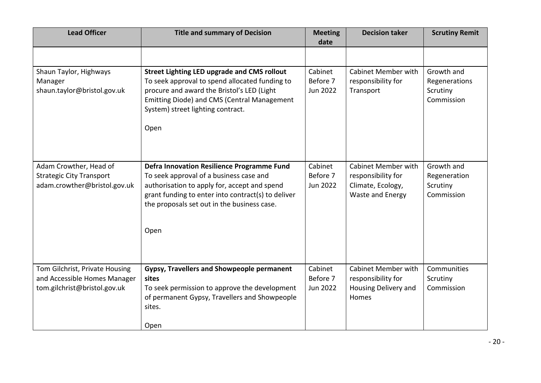| <b>Lead Officer</b>                                                                            | <b>Title and summary of Decision</b>                                                                                                                                                                                                                      | <b>Meeting</b><br>date                 | <b>Decision taker</b>                                                              | <b>Scrutiny Remit</b>                                 |
|------------------------------------------------------------------------------------------------|-----------------------------------------------------------------------------------------------------------------------------------------------------------------------------------------------------------------------------------------------------------|----------------------------------------|------------------------------------------------------------------------------------|-------------------------------------------------------|
|                                                                                                |                                                                                                                                                                                                                                                           |                                        |                                                                                    |                                                       |
| Shaun Taylor, Highways<br>Manager<br>shaun.taylor@bristol.gov.uk                               | <b>Street Lighting LED upgrade and CMS rollout</b><br>To seek approval to spend allocated funding to<br>procure and award the Bristol's LED (Light<br>Emitting Diode) and CMS (Central Management<br>System) street lighting contract.<br>Open            | Cabinet<br>Before 7<br>Jun 2022        | <b>Cabinet Member with</b><br>responsibility for<br>Transport                      | Growth and<br>Regenerations<br>Scrutiny<br>Commission |
| Adam Crowther, Head of<br><b>Strategic City Transport</b><br>adam.crowther@bristol.gov.uk      | <b>Defra Innovation Resilience Programme Fund</b><br>To seek approval of a business case and<br>authorisation to apply for, accept and spend<br>grant funding to enter into contract(s) to deliver<br>the proposals set out in the business case.<br>Open | Cabinet<br>Before 7<br><b>Jun 2022</b> | Cabinet Member with<br>responsibility for<br>Climate, Ecology,<br>Waste and Energy | Growth and<br>Regeneration<br>Scrutiny<br>Commission  |
| Tom Gilchrist, Private Housing<br>and Accessible Homes Manager<br>tom.gilchrist@bristol.gov.uk | Gypsy, Travellers and Showpeople permanent<br>sites<br>To seek permission to approve the development<br>of permanent Gypsy, Travellers and Showpeople<br>sites.<br>Open                                                                                   | Cabinet<br>Before 7<br>Jun 2022        | <b>Cabinet Member with</b><br>responsibility for<br>Housing Delivery and<br>Homes  | Communities<br>Scrutiny<br>Commission                 |